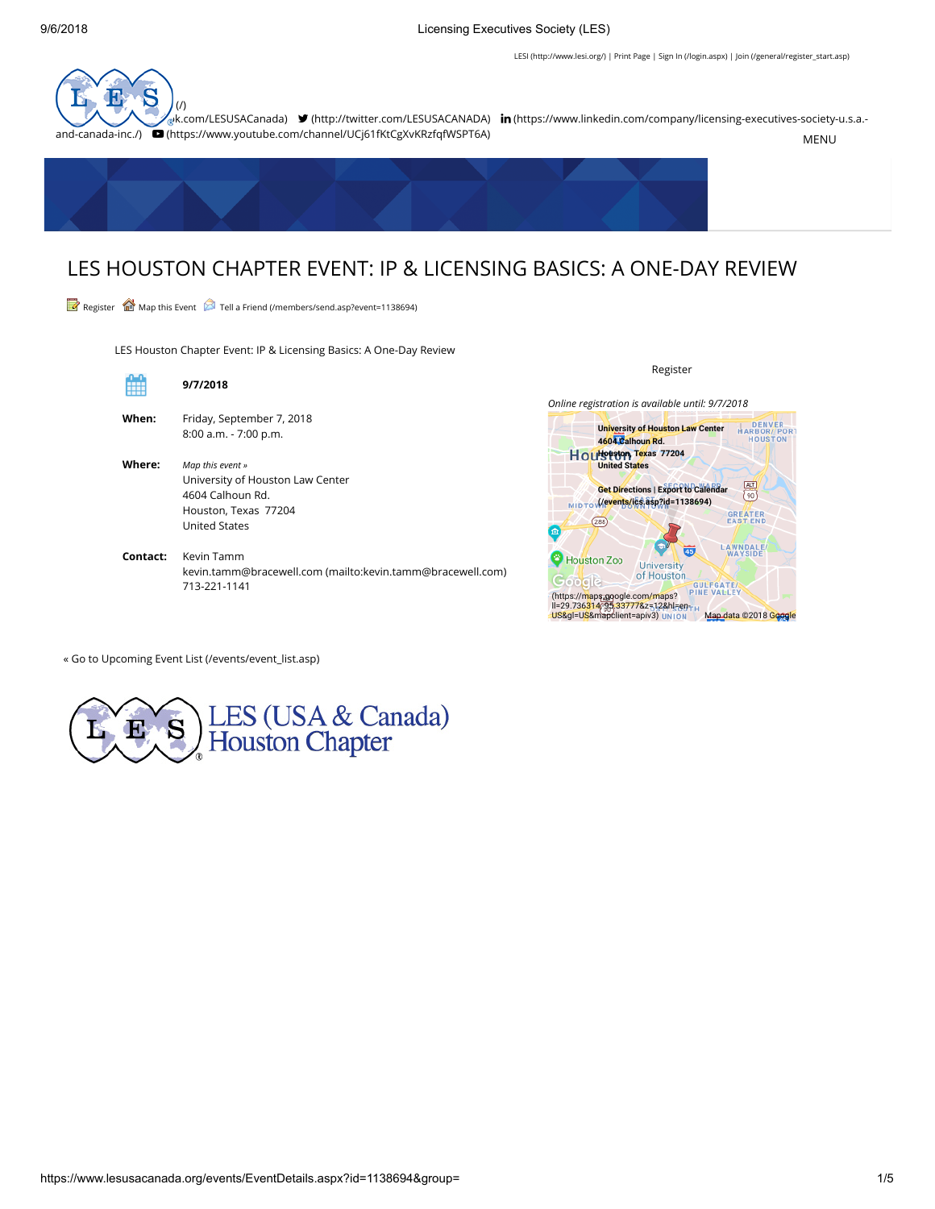#### 9/6/2018 Licensing Executives Society (LES)

[LESI \(http://www.lesi.org/\)](http://www.lesi.org/) | Print Page | [Sign In \(/login.aspx\)](https://www.lesusacanada.org/login.aspx) | [Join \(/general/register\\_start.asp\)](https://www.lesusacanada.org/general/register_start.asp)



## LES HOUSTON CHAPTER EVENT: IP & LICENSING BASICS: A ONE-DAY REVIEW

Register Map this Event [Tell a Friend \(/members/send.asp?event=1138694\)](https://www.lesusacanada.org/members/send.asp?event=1138694)

LES Houston Chapter Event: IP & Licensing Basics: A One-Day Review

| 無        | 9/7/2018                                                                                                          | Register                                                                                                                                                                                                                                                                   |
|----------|-------------------------------------------------------------------------------------------------------------------|----------------------------------------------------------------------------------------------------------------------------------------------------------------------------------------------------------------------------------------------------------------------------|
|          |                                                                                                                   | Online registration is available until: 9/7/2018                                                                                                                                                                                                                           |
| When:    | Friday, September 7, 2018<br>8:00 a.m. - 7:00 p.m.                                                                | <b>University of Houston Law Center</b><br><b>HOUSTON</b><br>4604 Calhoun Rd.                                                                                                                                                                                              |
| Where:   | Map this event »<br>University of Houston Law Center<br>4604 Calhoun Rd.<br>Houston, Texas 77204<br>United States | HOU by Texas 77204<br><b>United States</b><br>屬<br><b>Get Directions   Export to Calendar</b><br>(/events/ics.asp?id=1138694)<br>MID<br><b>GREATER</b><br><b>EAST END</b><br>288                                                                                           |
| Contact: | Kevin Tamm<br>kevin.tamm@bracewell.com (mailto:kevin.tamm@bracewell.com)<br>713-221-1141                          | <b>AWNDALE</b><br>45<br>WAYSIDE<br>Houston Zoo<br><b>University</b><br>of Houston<br>$G$ 00002<br><b>GULFGATE</b><br><b>PINE VALLEY</b><br>(https://maps.google.com/maps?<br>II=29.736314-95.33777&z=12&hl=en-<br>US&ql=US&mapclient=apiv3) UNION<br>Map-data ©2018 Google |

[« Go to Upcoming Event List \(/events/event\\_list.asp\)](https://www.lesusacanada.org/events/event_list.asp)

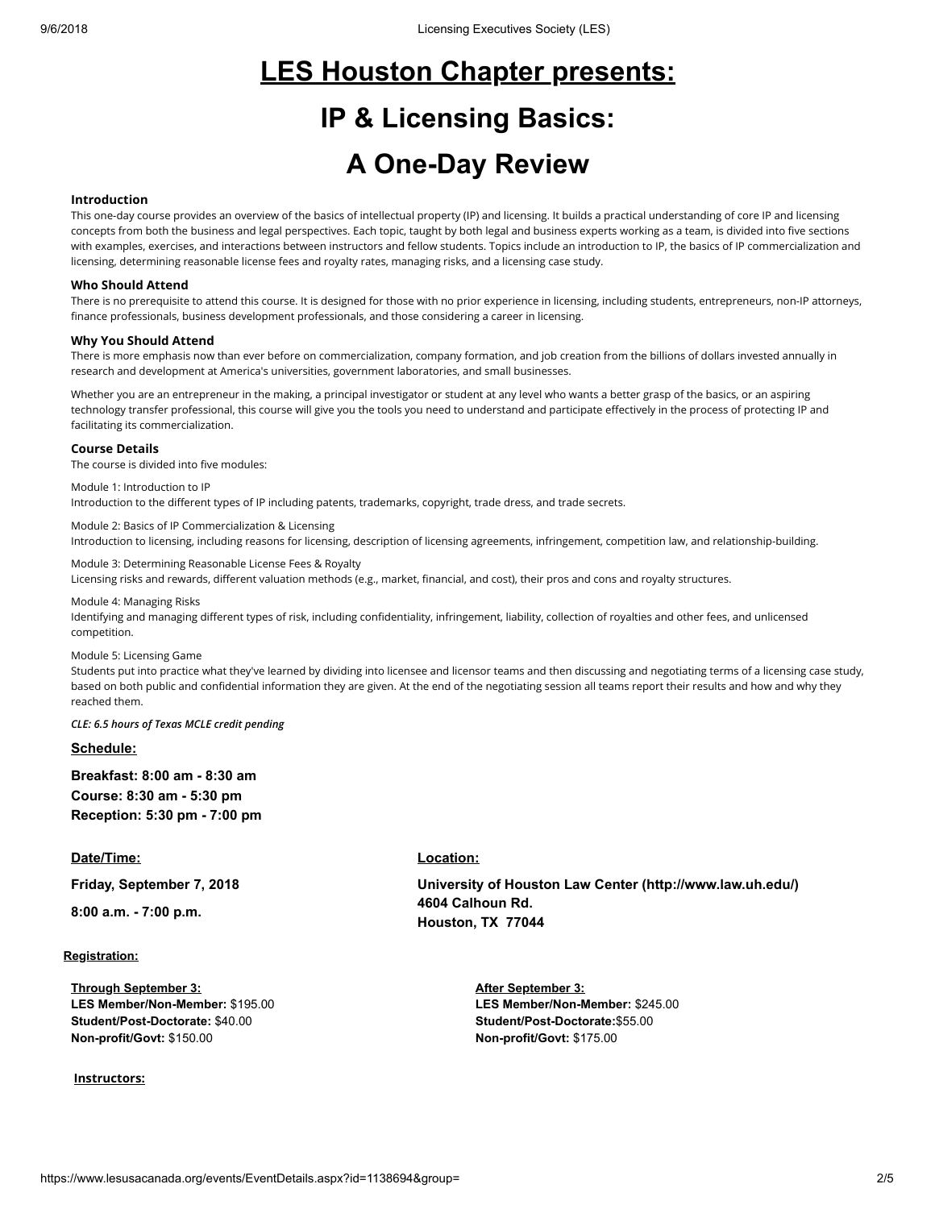# **LES Houston Chapter presents: IP & Licensing Basics:**

# **A One-Day Review**

#### **Introduction**

This one-day course provides an overview of the basics of intellectual property (IP) and licensing. It builds a practical understanding of core IP and licensing concepts from both the business and legal perspectives. Each topic, taught by both legal and business experts working as a team, is divided into five sections with examples, exercises, and interactions between instructors and fellow students. Topics include an introduction to IP, the basics of IP commercialization and licensing, determining reasonable license fees and royalty rates, managing risks, and a licensing case study.

#### **Who Should Attend**

There is no prerequisite to attend this course. It is designed for those with no prior experience in licensing, including students, entrepreneurs, non-IP attorneys, finance professionals, business development professionals, and those considering a career in licensing.

#### **Why You Should Attend**

There is more emphasis now than ever before on commercialization, company formation, and job creation from the billions of dollars invested annually in research and development at America's universities, government laboratories, and small businesses.

Whether you are an entrepreneur in the making, a principal investigator or student at any level who wants a better grasp of the basics, or an aspiring technology transfer professional, this course will give you the tools you need to understand and participate effectively in the process of protecting IP and facilitating its commercialization.

#### **Course Details**

The course is divided into five modules:

Module 1: Introduction to IP Introduction to the different types of IP including patents, trademarks, copyright, trade dress, and trade secrets.

Module 2: Basics of IP Commercialization & Licensing Introduction to licensing, including reasons for licensing, description of licensing agreements, infringement, competition law, and relationship-building.

Module 3: Determining Reasonable License Fees & Royalty Licensing risks and rewards, different valuation methods (e.g., market, financial, and cost), their pros and cons and royalty structures.

#### Module 4: Managing Risks

Identifying and managing different types of risk, including confidentiality, infringement, liability, collection of royalties and other fees, and unlicensed competition.

#### Module 5: Licensing Game

Students put into practice what they've learned by dividing into licensee and licensor teams and then discussing and negotiating terms of a licensing case study, based on both public and confidential information they are given. At the end of the negotiating session all teams report their results and how and why they reached them.

#### *CLE: 6.5 hours of Texas MCLE credit pending*

#### **Schedule:**

**Breakfast: 8:00 am - 8:30 am Course: 8:30 am - 5:30 pm Reception: 5:30 pm - 7:00 pm**

#### **Date/Time:**

**Friday, September 7, 2018**

**8:00 a.m. - 7:00 p.m.**

#### **Registration:**

**Through September 3: LES Member/Non-Member:** \$195.00 **Student/Post-Doctorate:** \$40.00 **Non-profit/Govt:** \$150.00

#### **Instructors:**

**Location:**

**[University of Houston Law Center \(http://www.law.uh.edu/\)](http://www.law.uh.edu/) 4604 Calhoun Rd. Houston, TX 77044**

> **After September 3: LES Member/Non-Member:** \$245.00 **Student/Post-Doctorate:**\$55.00 **Non-profit/Govt:** \$175.00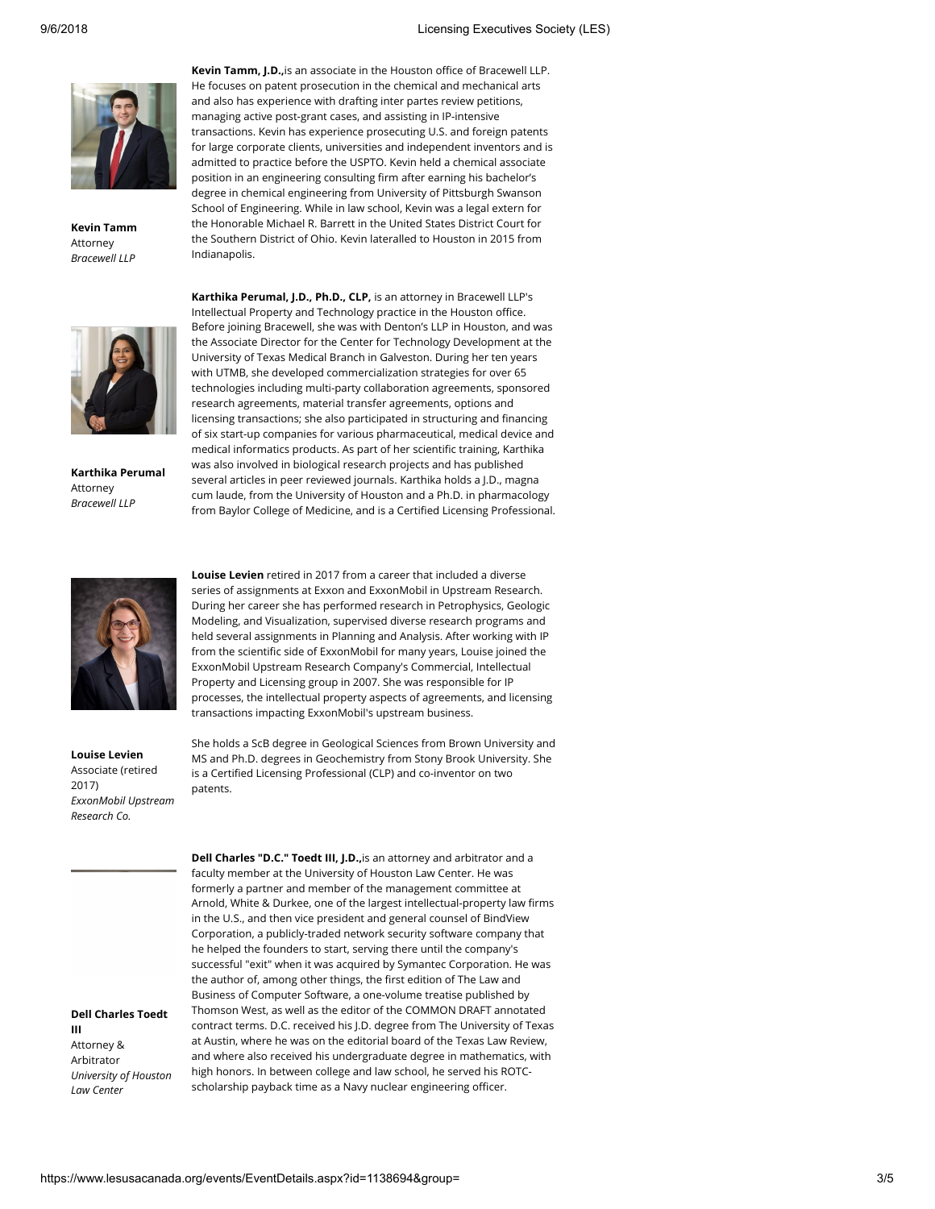

**Kevin Tamm**  Attorney *Bracewell LLP*



**Karthika Perumal**  Attorney *Bracewell LLP*

the Southern District of Ohio. Kevin lateralled to Houston in 2015 from Indianapolis. **Karthika Perumal, J.D., Ph.D., CLP,** is an attorney in Bracewell LLP's Intellectual Property and Technology practice in the Houston office. Before joining Bracewell, she was with Denton's LLP in Houston, and was the Associate Director for the Center for Technology Development at the University of Texas Medical Branch in Galveston. During her ten years with UTMB, she developed commercialization strategies for over 65 technologies including multi-party collaboration agreements, sponsored research agreements, material transfer agreements, options and licensing transactions; she also participated in structuring and financing of six start-up companies for various pharmaceutical, medical device and medical informatics products. As part of her scientific training, Karthika was also involved in biological research projects and has published several articles in peer reviewed journals. Karthika holds a J.D., magna cum laude, from the University of Houston and a Ph.D. in pharmacology from Baylor College of Medicine, and is a Certified Licensing Professional.

**Kevin Tamm, J.D.**, is an associate in the Houston office of Bracewell LLP. He focuses on patent prosecution in the chemical and mechanical arts and also has experience with drafting inter partes review petitions, managing active post-grant cases, and assisting in IP-intensive transactions. Kevin has experience prosecuting U.S. and foreign patents for large corporate clients, universities and independent inventors and is admitted to practice before the USPTO. Kevin held a chemical associate position in an engineering consulting firm after earning his bachelor's degree in chemical engineering from University of Pittsburgh Swanson School of Engineering. While in law school, Kevin was a legal extern for the Honorable Michael R. Barrett in the United States District Court for



**Louise Levien**  Associate (retired 2017) *ExxonMobil Upstream Research Co.*

**Louise Levien** retired in 2017 from a career that included a diverse series of assignments at Exxon and ExxonMobil in Upstream Research. During her career she has performed research in Petrophysics, Geologic Modeling, and Visualization, supervised diverse research programs and held several assignments in Planning and Analysis. After working with IP from the scientific side of ExxonMobil for many years, Louise joined the ExxonMobil Upstream Research Company's Commercial, Intellectual Property and Licensing group in 2007. She was responsible for IP processes, the intellectual property aspects of agreements, and licensing transactions impacting ExxonMobil's upstream business.

She holds a ScB degree in Geological Sciences from Brown University and MS and Ph.D. degrees in Geochemistry from Stony Brook University. She is a Certified Licensing Professional (CLP) and co-inventor on two patents.

**Dell Charles "D.C." Toedt III, J.D.,**is an attorney and arbitrator and a faculty member at the University of Houston Law Center. He was formerly a partner and member of the management committee at Arnold, White & Durkee, one of the largest intellectual-property law firms in the U.S., and then vice president and general counsel of BindView Corporation, a publicly-traded network security software company that he helped the founders to start, serving there until the company's successful "exit" when it was acquired by Symantec Corporation. He was the author of, among other things, the first edition of The Law and Business of Computer Software, a one-volume treatise published by Thomson West, as well as the editor of the COMMON DRAFT annotated contract terms. D.C. received his J.D. degree from The University of Texas at Austin, where he was on the editorial board of the Texas Law Review, and where also received his undergraduate degree in mathematics, with high honors. In between college and law school, he served his ROTCscholarship payback time as a Navy nuclear engineering officer.

**Dell Charles Toedt III**  Attorney &

Arbitrator *University of Houston Law Center*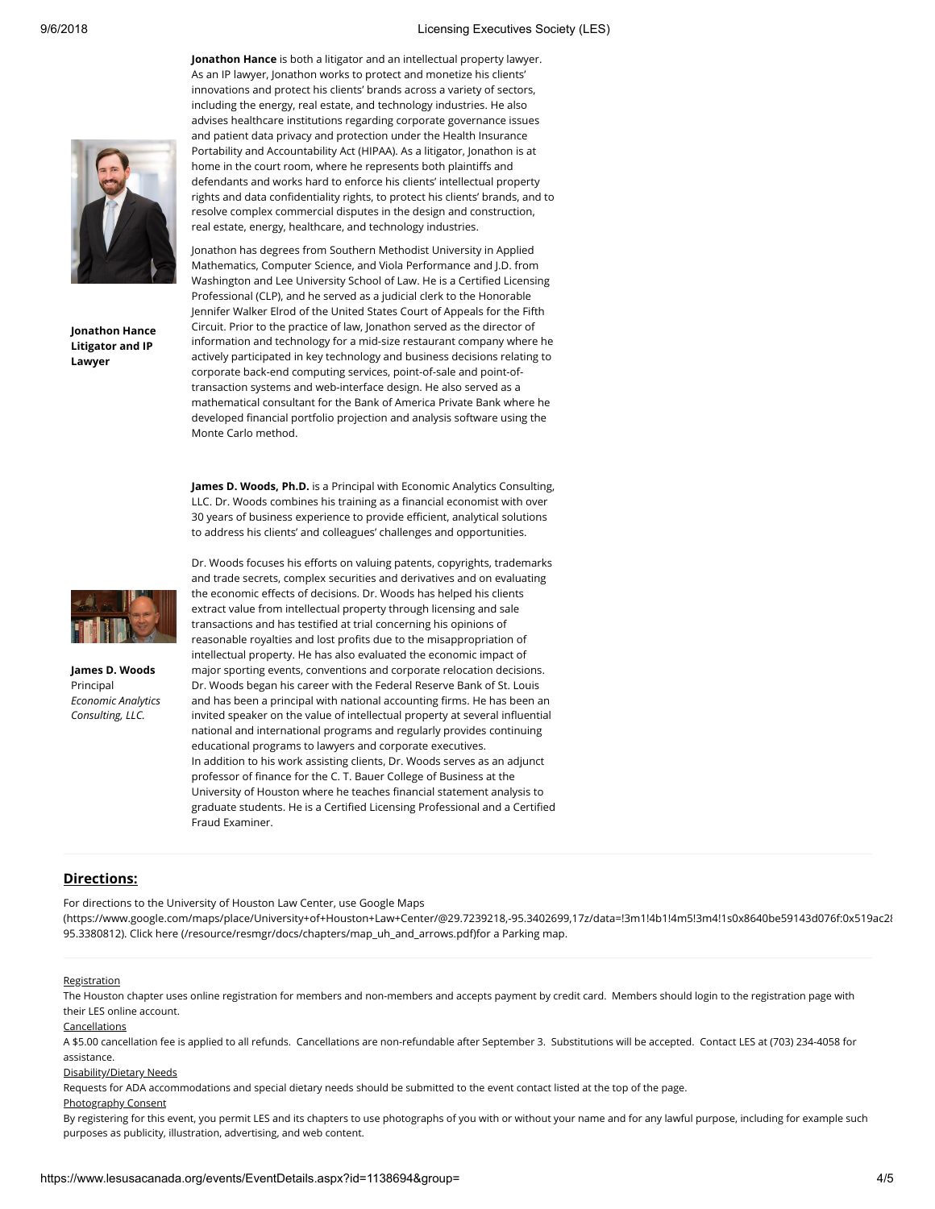

**Jonathon Hance Litigator and IP Lawyer** 

**Jonathon Hance** is both a litigator and an intellectual property lawyer. As an IP lawyer, Jonathon works to protect and monetize his clients' innovations and protect his clients' brands across a variety of sectors, including the energy, real estate, and technology industries. He also advises healthcare institutions regarding corporate governance issues and patient data privacy and protection under the Health Insurance Portability and Accountability Act (HIPAA). As a litigator, Jonathon is at home in the court room, where he represents both plaintiffs and defendants and works hard to enforce his clients' intellectual property rights and data confidentiality rights, to protect his clients' brands, and to resolve complex commercial disputes in the design and construction, real estate, energy, healthcare, and technology industries.

Jonathon has degrees from Southern Methodist University in Applied Mathematics, Computer Science, and Viola Performance and J.D. from Washington and Lee University School of Law. He is a Certified Licensing Professional (CLP), and he served as a judicial clerk to the Honorable Jennifer Walker Elrod of the United States Court of Appeals for the Fifth Circuit. Prior to the practice of law, Jonathon served as the director of information and technology for a mid-size restaurant company where he actively participated in key technology and business decisions relating to corporate back-end computing services, point-of-sale and point-oftransaction systems and web-interface design. He also served as a mathematical consultant for the Bank of America Private Bank where he developed financial portfolio projection and analysis software using the Monte Carlo method.

**James D. Woods, Ph.D.** is a Principal with Economic Analytics Consulting, LLC. Dr. Woods combines his training as a financial economist with over 30 years of business experience to provide efficient, analytical solutions to address his clients' and colleagues' challenges and opportunities.



**James D. Woods** Principal *Economic Analytics Consulting, LLC.*

Dr. Woods focuses his efforts on valuing patents, copyrights, trademarks and trade secrets, complex securities and derivatives and on evaluating the economic effects of decisions. Dr. Woods has helped his clients extract value from intellectual property through licensing and sale transactions and has testified at trial concerning his opinions of reasonable royalties and lost profits due to the misappropriation of intellectual property. He has also evaluated the economic impact of major sporting events, conventions and corporate relocation decisions. Dr. Woods began his career with the Federal Reserve Bank of St. Louis and has been a principal with national accounting firms. He has been an invited speaker on the value of intellectual property at several influential national and international programs and regularly provides continuing educational programs to lawyers and corporate executives. In addition to his work assisting clients, Dr. Woods serves as an adjunct professor of finance for the C. T. Bauer College of Business at the University of Houston where he teaches financial statement analysis to graduate students. He is a Certified Licensing Professional and a Certified Fraud Examiner.

#### **Directions:**

For directions to the University of Houston Law Center, use Google Maps [\(https://www.google.com/maps/place/University+of+Houston+Law+Center/@29.7239218,-95.3402699,17z/data=!3m1!4b1!4m5!3m4!1s0x8640be59143d076f:0x519ac28](https://www.google.com/maps/place/University+of+Houston+Law+Center/@29.7239218,-95.3402699,17z/data=!3m1!4b1!4m5!3m4!1s0x8640be59143d076f:0x519ac280881c29c9!8m2!3d29.7239172!4d-95.3380812) 95.3380812). [Click here \(/resource/resmgr/docs/chapters/map\\_uh\\_and\\_arrows.pdf\)f](https://www.lesusacanada.org/resource/resmgr/docs/chapters/map_uh_and_arrows.pdf)or a Parking map.

#### **Registration**

The Houston chapter uses online registration for members and non-members and accepts payment by credit card. Members should login to the registration page with their LES online account.

#### **Cancellations**

A \$5.00 cancellation fee is applied to all refunds. Cancellations are non-refundable after September 3. Substitutions will be accepted. Contact LES at (703) 234-4058 for assistance.

#### Disability/Dietary Needs

Requests for ADA accommodations and special dietary needs should be submitted to the event contact listed at the top of the page.

#### Photography Consent

By registering for this event, you permit LES and its chapters to use photographs of you with or without your name and for any lawful purpose, including for example such purposes as publicity, illustration, advertising, and web content.